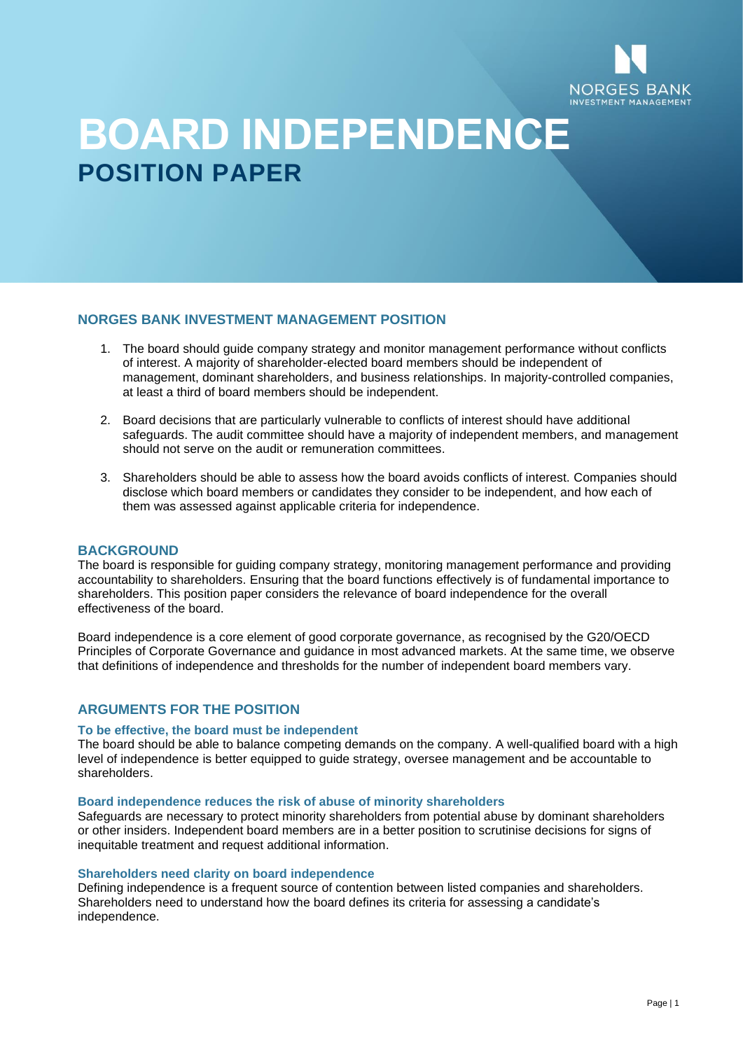

# **BOARD INDEPENDENCE POSITION PAPER**

## **NORGES BANK INVESTMENT MANAGEMENT POSITION**

- 1. The board should guide company strategy and monitor management performance without conflicts of interest. A majority of shareholder-elected board members should be independent of management, dominant shareholders, and business relationships. In majority-controlled companies, at least a third of board members should be independent.
- 2. Board decisions that are particularly vulnerable to conflicts of interest should have additional safeguards. The audit committee should have a majority of independent members, and management should not serve on the audit or remuneration committees.
- 3. Shareholders should be able to assess how the board avoids conflicts of interest. Companies should disclose which board members or candidates they consider to be independent, and how each of them was assessed against applicable criteria for independence.

## **BACKGROUND**

The board is responsible for guiding company strategy, monitoring management performance and providing accountability to shareholders. Ensuring that the board functions effectively is of fundamental importance to shareholders. This position paper considers the relevance of board independence for the overall effectiveness of the board.

Board independence is a core element of good corporate governance, as recognised by the G20/OECD Principles of Corporate Governance and guidance in most advanced markets. At the same time, we observe that definitions of independence and thresholds for the number of independent board members vary.

# **ARGUMENTS FOR THE POSITION**

#### **To be effective, the board must be independent**

The board should be able to balance competing demands on the company. A well-qualified board with a high level of independence is better equipped to guide strategy, oversee management and be accountable to shareholders.

#### **Board independence reduces the risk of abuse of minority shareholders**

Safeguards are necessary to protect minority shareholders from potential abuse by dominant shareholders or other insiders. Independent board members are in a better position to scrutinise decisions for signs of inequitable treatment and request additional information.

#### **Shareholders need clarity on board independence**

Defining independence is a frequent source of contention between listed companies and shareholders. Shareholders need to understand how the board defines its criteria for assessing a candidate's independence.